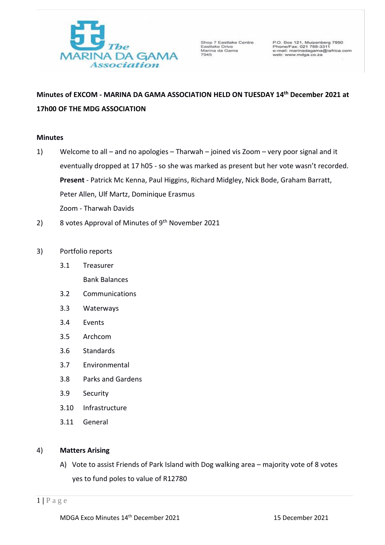

Shop 7 Eastlake Centre Shop / Eastlake<br>Eastlake Drive<br>Marina da Gama<br>7945

P.O. Box 121, Muizenberg 7950<br>Phone/Fax: 021 788-3311<br>e-mail: marinadagama@iafrica.com<br>web: www.mdga.co.za

# **Minutes of EXCOM - MARINA DA GAMA ASSOCIATION HELD ON TUESDAY 14th December 2021 at 17h00 OF THE MDG ASSOCIATION**

## **Minutes**

- 1) Welcome to all and no apologies Tharwah joined vis Zoom very poor signal and it eventually dropped at 17 h05 - so she was marked as present but her vote wasn't recorded. **Present** - Patrick Mc Kenna, Paul Higgins, Richard Midgley, Nick Bode, Graham Barratt, Peter Allen, Ulf Martz, Dominique Erasmus Zoom - Tharwah Davids
- 2) 8 votes Approval of Minutes of 9<sup>th</sup> November 2021
- 3) Portfolio reports
	- 3.1 Treasurer Bank Balances
	- 3.2 Communications
	- 3.3 Waterways
	- 3.4 Events
	- 3.5 Archcom
	- 3.6 Standards
	- 3.7 Environmental
	- 3.8 Parks and Gardens
	- 3.9 Security
	- 3.10 Infrastructure
	- 3.11 General

## 4) **Matters Arising**

A) Vote to assist Friends of Park Island with Dog walking area – majority vote of 8 votes yes to fund poles to value of R12780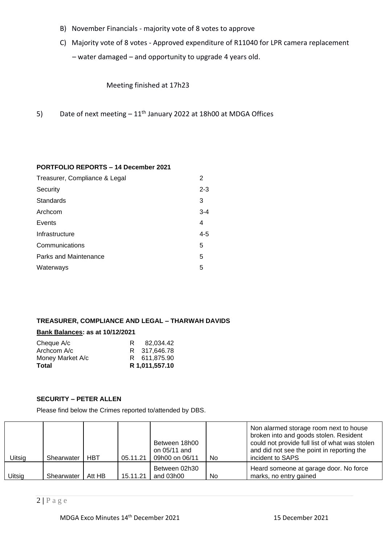- B) November Financials majority vote of 8 votes to approve
- C) Majority vote of 8 votes Approved expenditure of R11040 for LPR camera replacement – water damaged – and opportunity to upgrade 4 years old.

Meeting finished at 17h23

5) Date of next meeting  $-11<sup>th</sup>$  January 2022 at 18h00 at MDGA Offices

## **PORTFOLIO REPORTS – 14 December 2021**

| 2       |
|---------|
| $2 - 3$ |
| 3       |
| $3 - 4$ |
| 4       |
| $4 - 5$ |
| 5       |
| 5       |
| 5       |
|         |

## **TREASURER, COMPLIANCE AND LEGAL – THARWAH DAVIDS**

## **Bank Balances: as at 10/12/2021**

| Cheque A/c       | R | 82.034.42      |
|------------------|---|----------------|
| Archcom A/c      |   | R 317.646.78   |
| Money Market A/c |   | R 611.875.90   |
| Total            |   | R 1,011,557.10 |

## **SECURITY – PETER ALLEN**

Please find below the Crimes reported to/attended by DBS.

| Uitsig | Shearwater | <b>HBT</b> | 05.11.21 | Between 18h00<br>on 05/11 and<br>09h00 on 06/11 | No. | Non alarmed storage room next to house<br>broken into and goods stolen. Resident<br>could not provide full list of what was stolen<br>and did not see the point in reporting the<br>incident to SAPS |
|--------|------------|------------|----------|-------------------------------------------------|-----|------------------------------------------------------------------------------------------------------------------------------------------------------------------------------------------------------|
| Uitsig | Shearwater | Att HB     | 15.11.21 | Between 02h30<br>and 03h00                      | No. | Heard someone at garage door. No force<br>marks, no entry gained                                                                                                                                     |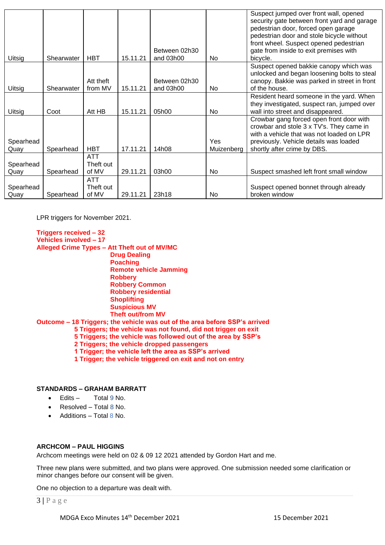|                   |            |                                  |          | Between 02h30              |                   | Suspect jumped over front wall, opened<br>security gate between front yard and garage<br>pedestrian door, forced open garage<br>pedestrian door and stole bicycle without<br>front wheel. Suspect opened pedestrian |
|-------------------|------------|----------------------------------|----------|----------------------------|-------------------|---------------------------------------------------------------------------------------------------------------------------------------------------------------------------------------------------------------------|
| Uitsig            | Shearwater | <b>HBT</b>                       | 15.11.21 | and 03h00                  | N <sub>0</sub>    | gate from inside to exit premises with<br>bicycle.                                                                                                                                                                  |
| Uitsig            | Shearwater | Att theft<br>from MV             | 15.11.21 | Between 02h30<br>and 03h00 | No.               | Suspect opened bakkie canopy which was<br>unlocked and began loosening bolts to steal<br>canopy. Bakkie was parked in street in front<br>of the house.                                                              |
| Uitsig            | Coot       | Att HB                           | 15.11.21 | 05h00                      | No.               | Resident heard someone in the yard. When<br>they investigated, suspect ran, jumped over<br>wall into street and disappeared.                                                                                        |
| Spearhead<br>Quay | Spearhead  | <b>HBT</b>                       | 17.11.21 | 14h08                      | Yes<br>Muizenberg | Crowbar gang forced open front door with<br>crowbar and stole 3 x TV's. They came in<br>with a vehicle that was not loaded on LPR<br>previously. Vehicle details was loaded<br>shortly after crime by DBS.          |
| Spearhead<br>Quay | Spearhead  | <b>ATT</b><br>Theft out<br>of MV | 29.11.21 | 03h00                      | N <sub>0</sub>    | Suspect smashed left front small window                                                                                                                                                                             |
| Spearhead<br>Quay | Spearhead  | <b>ATT</b><br>Theft out<br>of MV | 29.11.21 | 23h18                      | No.               | Suspect opened bonnet through already<br>broken window                                                                                                                                                              |

LPR triggers for November 2021.

## **Triggers received – 32 Vehicles involved – 17 Alleged Crime Types – Att Theft out of MV/MC Drug Dealing Poaching Remote vehicle Jamming Robbery Robbery Common Robbery residential Shoplifting Suspicious MV Theft out/from MV Outcome – 18 Triggers; the vehicle was out of the area before SSP's arrived 5 Triggers; the vehicle was not found, did not trigger on exit 5 Triggers; the vehicle was followed out of the area by SSP's 2 Triggers; the vehicle dropped passengers**

 **1 Trigger; the vehicle left the area as SSP's arrived**

 **1 Trigger; the vehicle triggered on exit and not on entry** 

## **STANDARDS – GRAHAM BARRATT**

- Edits Total 9 No.
- Resolved Total 8 No.
- Additions Total 8 No.

## **ARCHCOM – PAUL HIGGINS**

Archcom meetings were held on 02 & 09 12 2021 attended by Gordon Hart and me.

Three new plans were submitted, and two plans were approved. One submission needed some clarification or minor changes before our consent will be given.

One no objection to a departure was dealt with.

3 **|** P a g e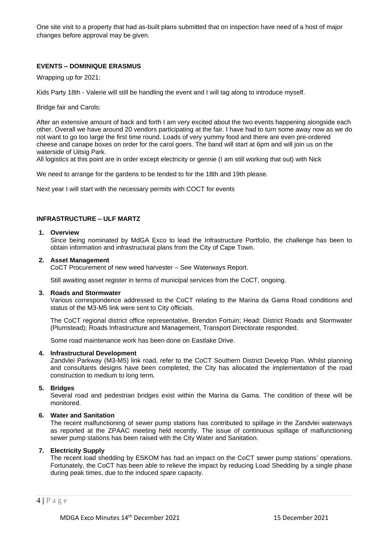One site visit to a property that had as-built plans submitted that on inspection have need of a host of major changes before approval may be given.

## **EVENTS – DOMINIQUE ERASMUS**

Wrapping up for 2021:

Kids Party 18th - Valerie will still be handling the event and I will tag along to introduce myself.

Bridge fair and Carols:

After an extensive amount of back and forth I am very excited about the two events happening alongside each other. Overall we have around 20 vendors participating at the fair. I have had to turn some away now as we do not want to go too large the first time round. Loads of very yummy food and there are even pre-ordered cheese and canape boxes on order for the carol goers. The band will start at 6pm and will join us on the waterside of Uitsig Park.

All logistics at this point are in order except electricity or gennie (I am still working that out) with Nick

We need to arrange for the gardens to be tended to for the 18th and 19th please.

Next year I will start with the necessary permits with COCT for events

## **INFRASTRUCTURE – ULF MARTZ**

#### **1. Overview**

Since being nominated by MdGA Exco to lead the Infrastructure Portfolio, the challenge has been to obtain information and infrastructural plans from the City of Cape Town.

#### **2. Asset Management**

CoCT Procurement of new weed harvester – See Waterways Report.

Still awaiting asset register in terms of municipal services from the CoCT, ongoing.

#### **3. Roads and Stormwater**

Various correspondence addressed to the CoCT relating to the Marina da Gama Road conditions and status of the M3-M5 link were sent to City officials.

The CoCT regional district office representative, Brendon Fortuin; Head: District Roads and Stormwater (Plumstead); Roads Infrastructure and Management, Transport Directorate responded.

Some road maintenance work has been done on Eastlake Drive.

#### **4. Infrastructural Development**

Zandvlei Parkway (M3-M5) link road, refer to the CoCT Southern District Develop Plan. Whilst planning and consultants designs have been completed, the City has allocated the implementation of the road construction to medium to long term.

#### **5. Bridges**

Several road and pedestrian bridges exist within the Marina da Gama. The condition of these will be monitored.

#### **6. Water and Sanitation**

The recent malfunctioning of sewer pump stations has contributed to spillage in the Zandvlei waterways as reported at the ZPAAC meeting held recently. The issue of continuous spillage of malfunctioning sewer pump stations has been raised with the City Water and Sanitation.

#### **7. Electricity Supply**

The recent load shedding by ESKOM has had an impact on the CoCT sewer pump stations' operations. Fortunately, the CoCT has been able to relieve the impact by reducing Load Shedding by a single phase during peak times, due to the induced spare capacity.